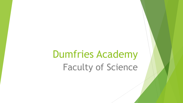# Dumfries Academy Faculty of Science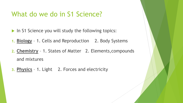### What do we do in S1 Science?

- In S1 Science you will study the following topics:
- **1. Biology** 1. Cells and Reproduction 2. Body Systems
- **2. Chemistry** 1. States of Matter 2. Elements,compounds and mixtures
- **3. Physics** 1. Light 2. Forces and electricity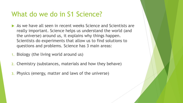### What do we do in S1 Science?

- As we have all seen in recent weeks Science and Scientists are really important. Science helps us understand the world (and the universe) around us, it explains why things happen. Scientists do experiments that allow us to find solutions to questions and problems. Science has 3 main areas:
- 1. Biology (the living world around us)
- 2. Chemistry (substances, materials and how they behave)
- 3. Physics (energy, matter and laws of the universe)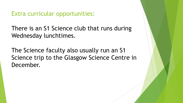Extra curricular opportunities:

There is an S1 Science club that runs during Wednesday lunchtimes.

The Science faculty also usually run an S1 Science trip to the Glasgow Science Centre in December.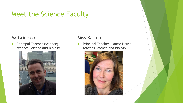# Meet the Science Faculty

#### Mr Grierson

**Principal Teacher (Science)** teaches Science and Biology



#### Miss Barton

**Principal Teacher (Laurie House)** teaches Science and Biology

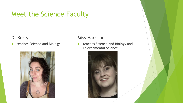# Meet the Science Faculty

Dr Berry

**teaches Science and Biology** 



#### Miss Harrison

**teaches Science and Biology and** Environmental Science